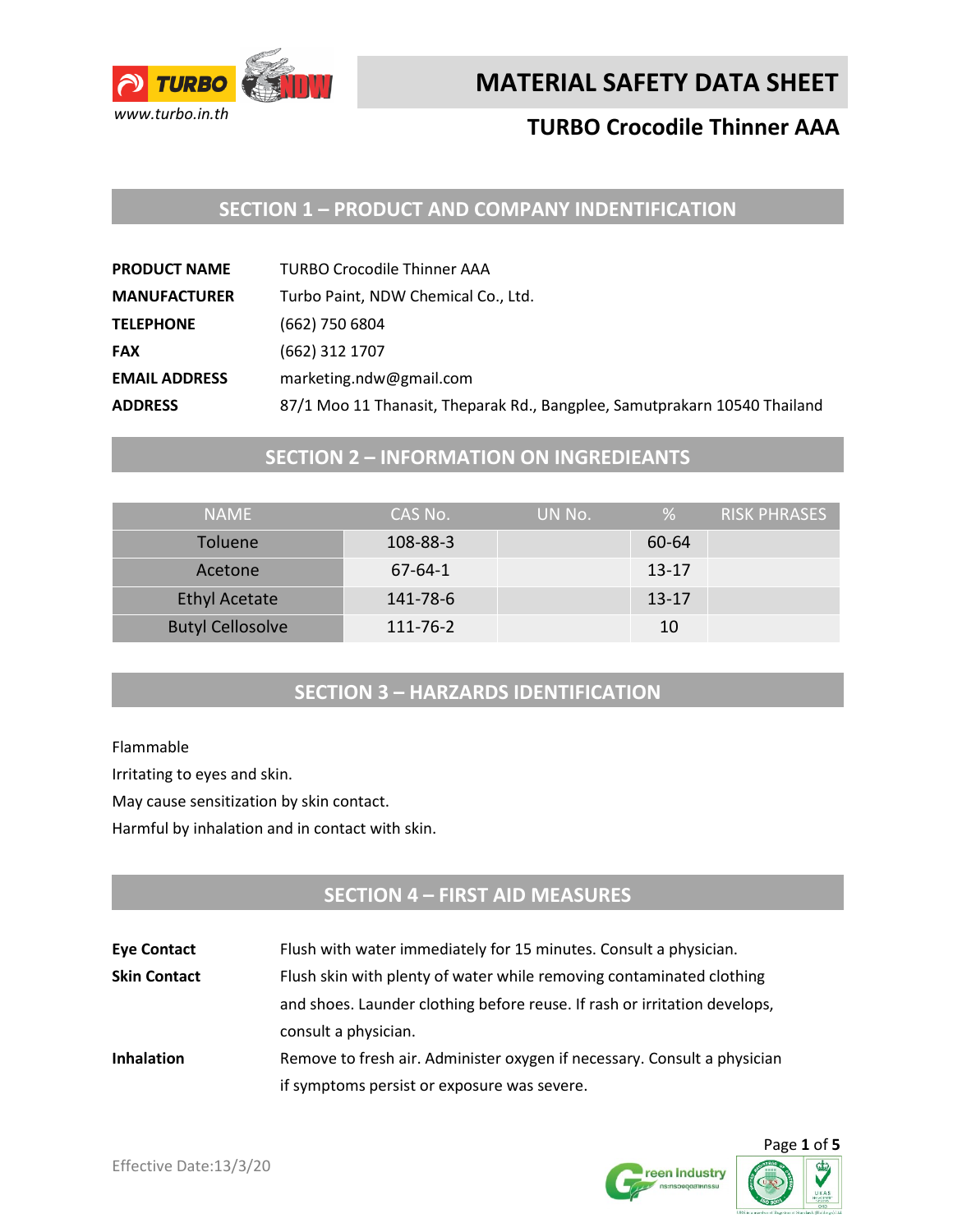

## **MATERIAL SAFETY DATA SHEET**

## **TURBO Crocodile Thinner AAA**

## **SECTION 1 – PRODUCT AND COMPANY INDENTIFICATION**

| <b>PRODUCT NAME</b>  | <b>TURBO Crocodile Thinner AAA</b>                                        |
|----------------------|---------------------------------------------------------------------------|
| <b>MANUFACTURER</b>  | Turbo Paint, NDW Chemical Co., Ltd.                                       |
| <b>TELEPHONE</b>     | (662) 750 6804                                                            |
| <b>FAX</b>           | (662) 312 1707                                                            |
| <b>EMAIL ADDRESS</b> | marketing.ndw@gmail.com                                                   |
| <b>ADDRESS</b>       | 87/1 Moo 11 Thanasit, Theparak Rd., Bangplee, Samutprakarn 10540 Thailand |

#### **SECTION 2 – INFORMATION ON INGREDIEANTS**

| <b>NAMF</b>             | CAS No.       | UN No. | %         | RISK PHRASES |
|-------------------------|---------------|--------|-----------|--------------|
| <b>Toluene</b>          | 108-88-3      |        | 60-64     |              |
| Acetone                 | $67 - 64 - 1$ |        | $13 - 17$ |              |
| <b>Ethyl Acetate</b>    | 141-78-6      |        | $13 - 17$ |              |
| <b>Butyl Cellosolve</b> | 111-76-2      |        | 10        |              |

#### **SECTION 3 – HARZARDS IDENTIFICATION**

Flammable

Irritating to eyes and skin.

May cause sensitization by skin contact.

Harmful by inhalation and in contact with skin.

## **SECTION 4 – FIRST AID MEASURES**

| <b>Eye Contact</b>  | Flush with water immediately for 15 minutes. Consult a physician.         |  |
|---------------------|---------------------------------------------------------------------------|--|
| <b>Skin Contact</b> | Flush skin with plenty of water while removing contaminated clothing      |  |
|                     | and shoes. Launder clothing before reuse. If rash or irritation develops, |  |
|                     | consult a physician.                                                      |  |
| <b>Inhalation</b>   | Remove to fresh air. Administer oxygen if necessary. Consult a physician  |  |
|                     | if symptoms persist or exposure was severe.                               |  |



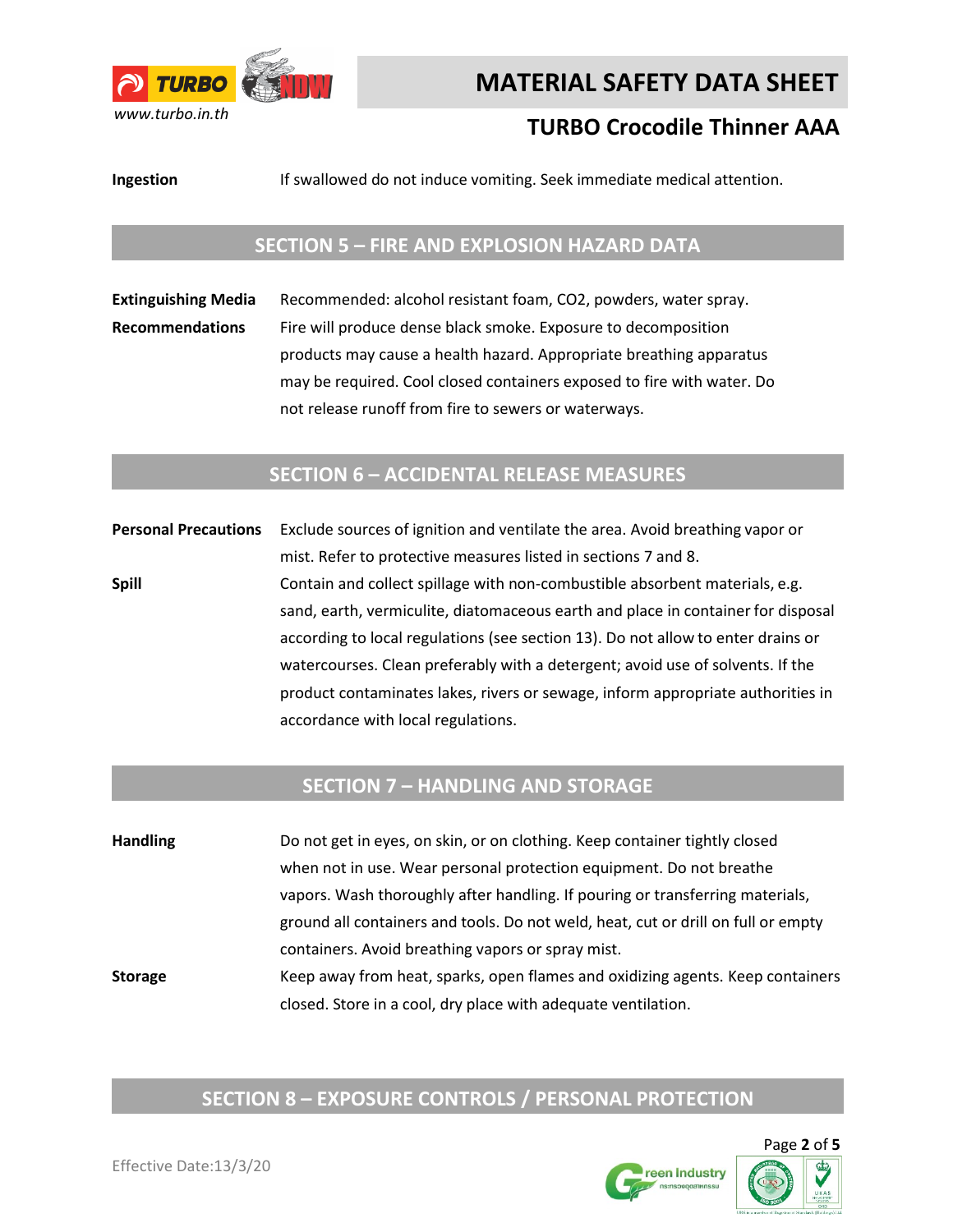

# **MATERIAL SAFETY DATA SHEET**

## **TURBO Crocodile Thinner AAA**

**Ingestion** If swallowed do not induce vomiting. Seek immediate medical attention.

#### **SECTION 5 – FIRE AND EXPLOSION HAZARD DATA**

**Extinguishing Media** Recommended: alcohol resistant foam, CO2, powders, water spray. **Recommendations** Fire will produce dense black smoke. Exposure to decomposition products may cause a health hazard. Appropriate breathing apparatus may be required. Cool closed containers exposed to fire with water. Do not release runoff from fire to sewers or waterways.

#### **SECTION 6 – ACCIDENTAL RELEASE MEASURES**

**Personal Precautions** Exclude sources of ignition and ventilate the area. Avoid breathing vapor or mist. Refer to protective measures listed in sections 7 and 8. **Spill Spill** Contain and collect spillage with non-combustible absorbent materials, e.g. sand, earth, vermiculite, diatomaceous earth and place in container for disposal according to local regulations (see section 13). Do not allow to enter drains or watercourses. Clean preferably with a detergent; avoid use of solvents. If the product contaminates lakes, rivers or sewage, inform appropriate authorities in accordance with local regulations.

#### **SECTION 7 – HANDLING AND STORAGE**

**Handling** Do not get in eyes, on skin, or on clothing. Keep container tightly closed when not in use. Wear personal protection equipment. Do not breathe vapors. Wash thoroughly after handling. If pouring or transferring materials, ground all containers and tools. Do not weld, heat, cut or drill on full or empty containers. Avoid breathing vapors or spray mist. **Storage** Keep away from heat, sparks, open flames and oxidizing agents. Keep containers closed. Store in a cool, dry place with adequate ventilation.

## **SECTION 8 – EXPOSURE CONTROLS / PERSONAL PROTECTION**

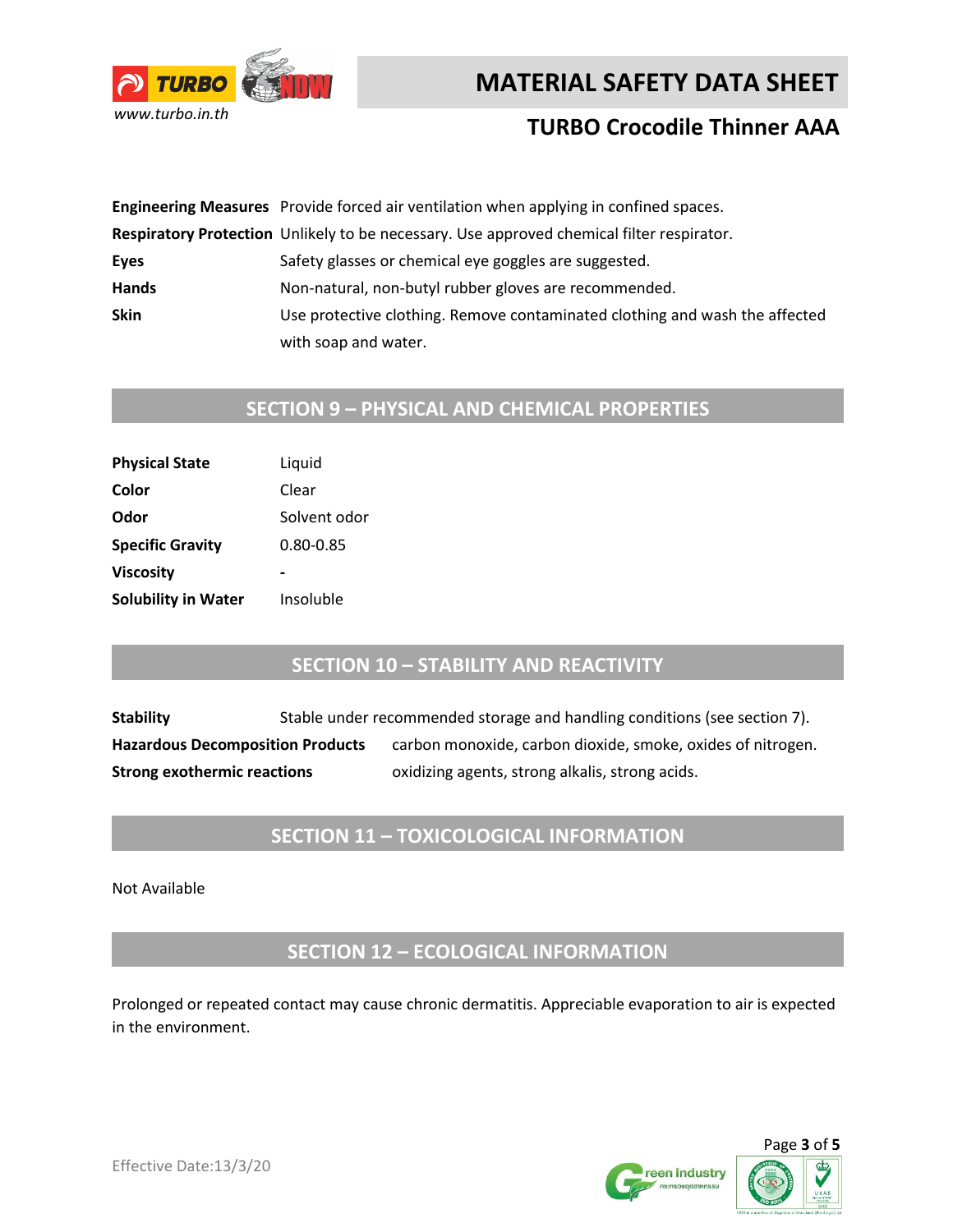



### **TURBO Crocodile Thinner AAA**

|             | Engineering Measures Provide forced air ventilation when applying in confined spaces.     |
|-------------|-------------------------------------------------------------------------------------------|
|             | Respiratory Protection Unlikely to be necessary. Use approved chemical filter respirator. |
| Eyes        | Safety glasses or chemical eye goggles are suggested.                                     |
| Hands       | Non-natural, non-butyl rubber gloves are recommended.                                     |
| <b>Skin</b> | Use protective clothing. Remove contaminated clothing and wash the affected               |
|             | with soap and water.                                                                      |

# **SECTION 9 – PHYSICAL AND CHEMICAL PROPERTIES**

| Liquid       |
|--------------|
| Clear        |
| Solvent odor |
| 0.80-0.85    |
|              |
| Insoluble    |
|              |

#### **SECTION 10 – STABILITY AND REACTIVITY**

**Stability** Stable under recommended storage and handling conditions (see section 7). Hazardous Decomposition Products carbon monoxide, carbon dioxide, smoke, oxides of nitrogen. **Strong exothermic reactions** oxidizing agents, strong alkalis, strong acids.

#### **SECTION 11 – TOXICOLOGICAL INFORMATION**

Not Available

**SECTION 12 – ECOLOGICAL INFORMATION**

Prolonged or repeated contact may cause chronic dermatitis. Appreciable evaporation to air is expected in the environment.



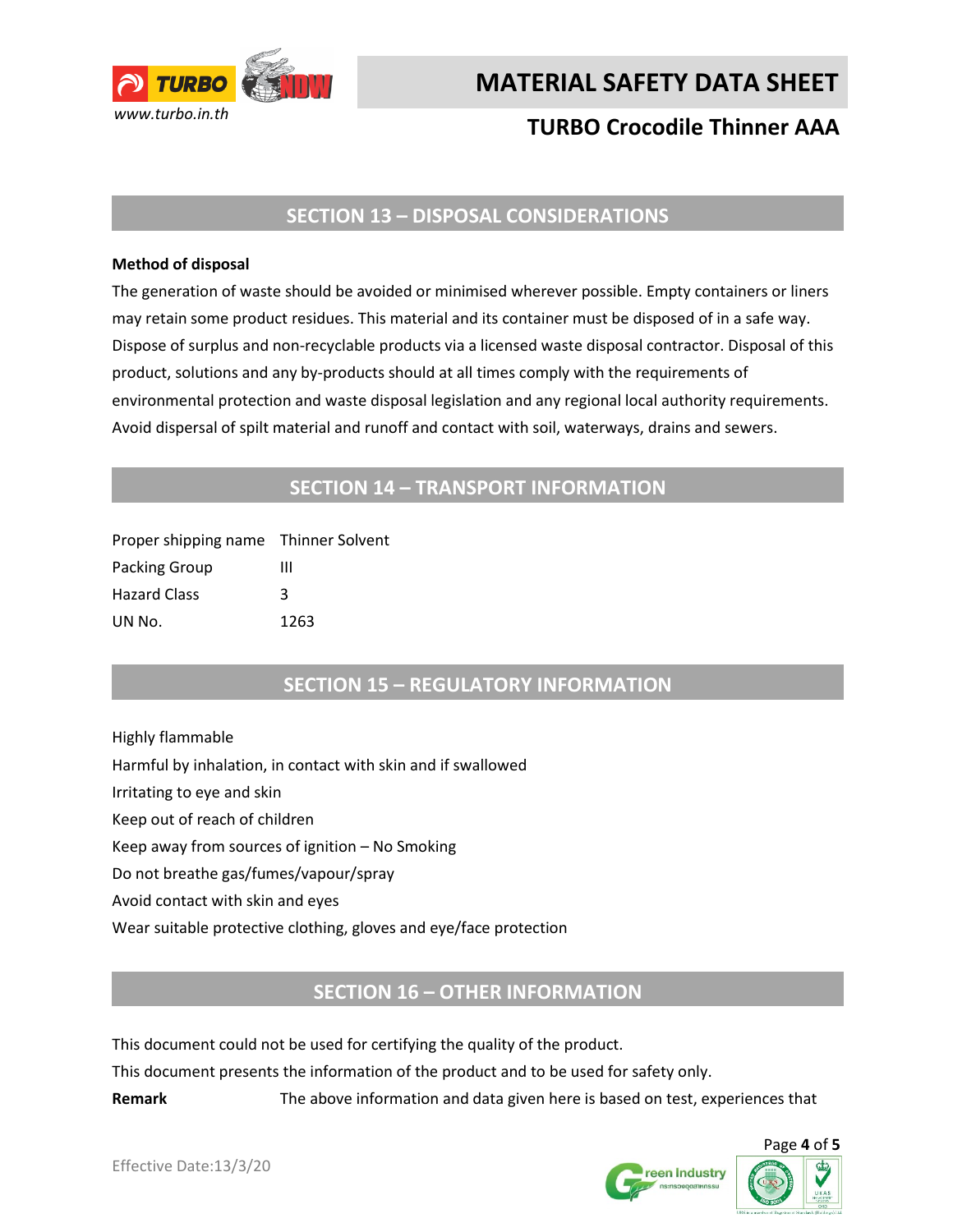

**MATERIAL SAFETY DATA SHEET** 

## **TURBO Crocodile Thinner AAA**

#### **SECTION 13 – DISPOSAL CONSIDERATIONS**

#### **Method of disposal**

The generation of waste should be avoided or minimised wherever possible. Empty containers or liners may retain some product residues. This material and its container must be disposed of in a safe way. Dispose of surplus and non-recyclable products via a licensed waste disposal contractor. Disposal of this product, solutions and any by-products should at all times comply with the requirements of environmental protection and waste disposal legislation and any regional local authority requirements. Avoid dispersal of spilt material and runoff and contact with soil, waterways, drains and sewers.

#### **SECTION 14 – TRANSPORT INFORMATION**

| Proper shipping name Thinner Solvent |      |
|--------------------------------------|------|
| Packing Group                        | ш    |
| <b>Hazard Class</b>                  | κ    |
| UN No.                               | 1263 |

#### **SECTION 15 – REGULATORY INFORMATION**

Highly flammable Harmful by inhalation, in contact with skin and if swallowed Irritating to eye and skin Keep out of reach of children Keep away from sources of ignition – No Smoking Do not breathe gas/fumes/vapour/spray Avoid contact with skin and eyes Wear suitable protective clothing, gloves and eye/face protection

#### **SECTION 16 – OTHER INFORMATION**

This document could not be used for certifying the quality of the product.

This document presents the information of the product and to be used for safety only.

**Remark** The above information and data given here is based on test, experiences that